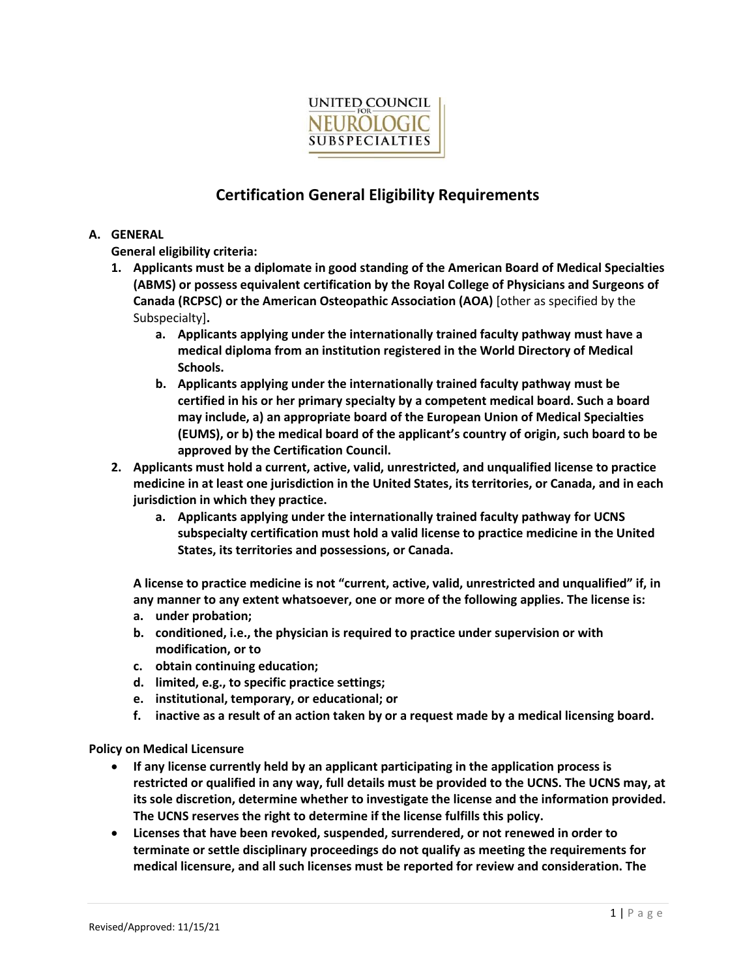

# **Certification General Eligibility Requirements**

# **A. GENERAL**

**General eligibility criteria:**

- **1. Applicants must be a diplomate in good standing of the American Board of Medical Specialties (ABMS) or possess equivalent certification by the Royal College of Physicians and Surgeons of Canada (RCPSC) or the American Osteopathic Association (AOA)** [other as specified by the Subspecialty]**.** 
	- **a. Applicants applying under the internationally trained faculty pathway must have a medical diploma from an institution registered in th[e World Directory of Medical](https://search.wdoms.org/)  [Schools.](https://search.wdoms.org/)**
	- **b. Applicants applying under the internationally trained faculty pathway must be certified in his or her primary specialty by a competent medical board. Such a board may include, a) an appropriate board of the European Union of Medical Specialties (EUMS), or b) the medical board of the applicant's country of origin, such board to be approved by the Certification Council.**
- **2. Applicants must hold a current, active, valid, unrestricted, and unqualified license to practice medicine in at least one jurisdiction in the United States, its territories, or Canada, and in each jurisdiction in which they practice.**
	- **a. Applicants applying under the internationally trained faculty pathway for UCNS subspecialty certification must hold a valid license to practice medicine in the United States, its territories and possessions, or Canada.**

**A license to practice medicine is not "current, active, valid, unrestricted and unqualified" if, in any manner to any extent whatsoever, one or more of the following applies. The license is:** 

- **a. under probation;**
- **b. conditioned, i.e., the physician is required to practice under supervision or with modification, or to**
- **c. obtain continuing education;**
- **d. limited, e.g., to specific practice settings;**
- **e. institutional, temporary, or educational; or**
- **f. inactive as a result of an action taken by or a request made by a medical licensing board.**

**Policy on Medical Licensure** 

- **If any license currently held by an applicant participating in the application process is restricted or qualified in any way, full details must be provided to the UCNS. The UCNS may, at its sole discretion, determine whether to investigate the license and the information provided. The UCNS reserves the right to determine if the license fulfills this policy.**
- **Licenses that have been revoked, suspended, surrendered, or not renewed in order to terminate or settle disciplinary proceedings do not qualify as meeting the requirements for medical licensure, and all such licenses must be reported for review and consideration. The**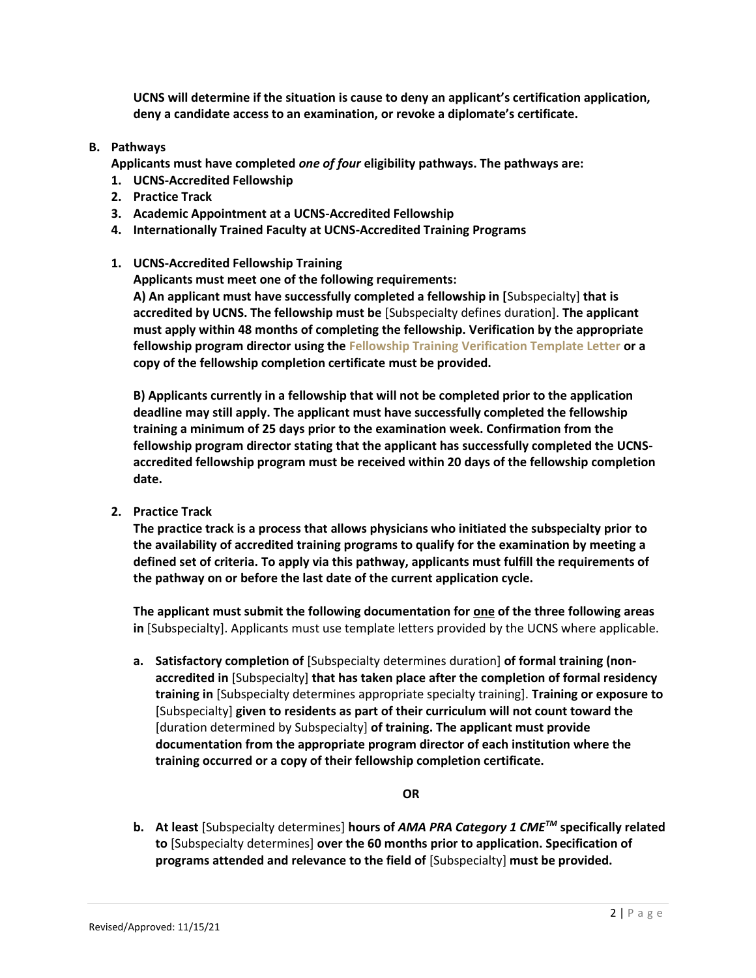**UCNS will determine if the situation is cause to deny an applicant's certification application, deny a candidate access to an examination, or revoke a diplomate's certificate.**

# **B. Pathways**

**Applicants must have completed** *one of four* **eligibility pathways. The pathways are:**

- **1. UCNS-Accredited Fellowship**
- **2. Practice Track**
- **3. Academic Appointment at a UCNS-Accredited Fellowship**
- **4. Internationally Trained Faculty at UCNS-Accredited Training Programs**

## **1. UCNS-Accredited Fellowship Training**

**Applicants must meet one of the following requirements:**

**A) An applicant must have successfully completed a fellowship in [**Subspecialty] **that is accredited by UCNS. The fellowship must be** [Subspecialty defines duration]. **The applicant must apply within 48 months of completing the fellowship. Verification by the appropriate fellowship program director using th[e Fellowship Training Verification Template Letter](https://www.ucns.org/Online/Certification/Online/Certification_Home.aspx?hkey=c7f37845-c035-4186-bd99-9eff677d6c90) or a copy of the fellowship completion certificate must be provided.**

**B) Applicants currently in a fellowship that will not be completed prior to the application deadline may still apply. The applicant must have successfully completed the fellowship training a minimum of 25 days prior to the examination week. Confirmation from the fellowship program director stating that the applicant has successfully completed the UCNSaccredited fellowship program must be received within 20 days of the fellowship completion date.**

**2. Practice Track**

**The practice track is a process that allows physicians who initiated the subspecialty prior to the availability of accredited training programs to qualify for the examination by meeting a defined set of criteria. To apply via this pathway, applicants must fulfill the requirements of the pathway on or before the last date of the current application cycle.**

**The applicant must submit the following documentation for one of the three following areas in** [Subspecialty]. Applicants must use template letters provided by the UCNS where applicable.

**a. Satisfactory completion of** [Subspecialty determines duration] **of formal training (nonaccredited in** [Subspecialty] **that has taken place after the completion of formal residency training in** [Subspecialty determines appropriate specialty training]. **Training or exposure to**  [Subspecialty] **given to residents as part of their curriculum will not count toward the**  [duration determined by Subspecialty] **of training. The applicant must provide documentation from the appropriate program director of each institution where the training occurred or a copy of their fellowship completion certificate.**

**OR**

**b. At least** [Subspecialty determines] **hours of** *AMA PRA Category 1 CMETM* **specifically related to** [Subspecialty determines] **over the 60 months prior to application. Specification of programs attended and relevance to the field of** [Subspecialty] **must be provided.**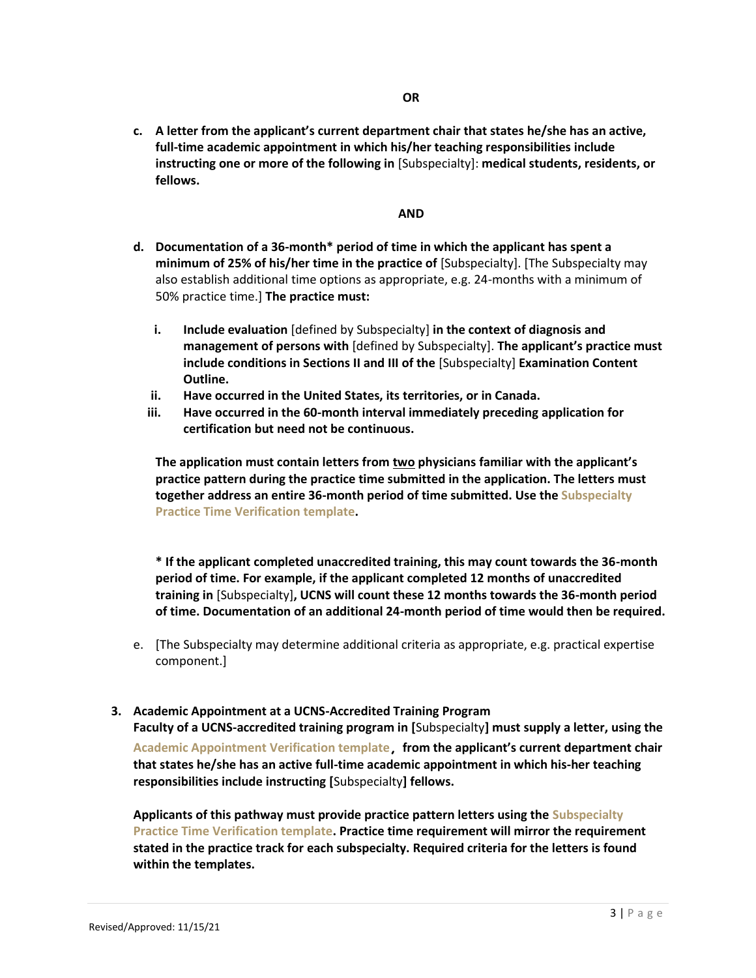**c. A letter from the applicant's current department chair that states he/she has an active, full-time academic appointment in which his/her teaching responsibilities include instructing one or more of the following in** [Subspecialty]: **medical students, residents, or fellows.**

### **AND**

- **d. Documentation of a 36-month\* period of time in which the applicant has spent a minimum of 25% of his/her time in the practice of** [Subspecialty]. [The Subspecialty may also establish additional time options as appropriate, e.g. 24-months with a minimum of 50% practice time.] **The practice must:**
	- **i. Include evaluation** [defined by Subspecialty] **in the context of diagnosis and management of persons with** [defined by Subspecialty]. **The applicant's practice must include conditions in Sections II and III of the** [Subspecialty] **Examination Content Outline.**
	- **ii. Have occurred in the United States, its territories, or in Canada.**
	- **iii. Have occurred in the 60-month interval immediately preceding application for certification but need not be continuous.**

**The application must contain letters from two physicians familiar with the applicant's practice pattern during the practice time submitted in the application. The letters must together address an entire 36-month period of time submitted. Use th[e Subspecialty](https://www.ucns.org/Online/Certification/Online/Certification_Home.aspx?hkey=c7f37845-c035-4186-bd99-9eff677d6c90)  [Practice Time Verification](https://www.ucns.org/Online/Certification/Online/Certification_Home.aspx?hkey=c7f37845-c035-4186-bd99-9eff677d6c90) template.**

**\* If the applicant completed unaccredited training, this may count towards the 36-month period of time. For example, if the applicant completed 12 months of unaccredited training in** [Subspecialty]**, UCNS will count these 12 months towards the 36-month period of time. Documentation of an additional 24-month period of time would then be required.**

e. [The Subspecialty may determine additional criteria as appropriate, e.g. practical expertise component.]

### **3. Academic Appointment at a UCNS-Accredited Training Program**

**Faculty of a UCNS-accredited training program in [**Subspecialty**] must supply a letter, using the [Academic Appointment Verification template](https://www.ucns.org/Online/Certification/Online/Certification_Home.aspx?hkey=c7f37845-c035-4186-bd99-9eff677d6c90), from the applicant's current department chair that states he/she has an active full-time academic appointment in which his-her teaching responsibilities include instructing [**Subspecialty**] fellows.**

**Applicants of this pathway must provide practice pattern letters using the [Subspecialty](https://www.ucns.org/Online/Certification/Online/Certification_Home.aspx?hkey=c7f37845-c035-4186-bd99-9eff677d6c90)  [Practice Time Verification template.](https://www.ucns.org/Online/Certification/Online/Certification_Home.aspx?hkey=c7f37845-c035-4186-bd99-9eff677d6c90) Practice time requirement will mirror the requirement stated in the practice track for each subspecialty. Required criteria for the letters is found within the templates.**